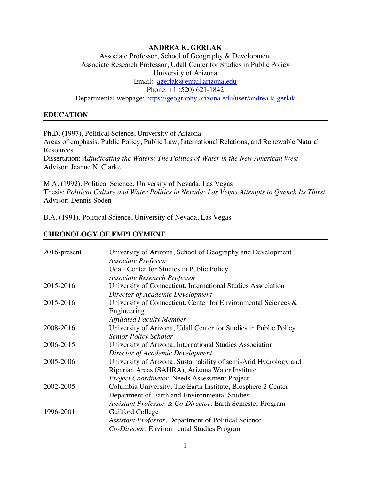### **ANDREA K. GERLAK**

# Associate Professor, School of Geography & Development Associate Research Professor, Udall Center for Studies in Public Policy University of Arizona Email:agerlak@email.arizona.edu Phone: +1 (520) 621-1842 Departmental webpage: https://geography.arizona.edu/user/andrea-k-gerlak

#### **EDUCATION**

Ph.D. (1997), Political Science, University of Arizona Areas of emphasis: Public Policy, Public Law, International Relations, and Renewable Natural **Resources** Dissertation: *Adjudicating the Waters: The Politics of Water in the New American West* Advisor: Jeanne N. Clarke

M.A. (1992), Political Science, University of Nevada, Las Vegas Thesis: *Political Culture and Water Politics in Nevada: Las Vegas Attempts to Quench Its Thirst* Advisor: Dennis Soden

B.A. (1991), Political Science, University of Nevada, Las Vegas

#### **CHRONOLOGY OF EMPLOYMENT**

| $2016$ -present | University of Arizona, School of Geography and Development<br>Associate Professor |
|-----------------|-----------------------------------------------------------------------------------|
|                 | <b>Udall Center for Studies in Public Policy</b>                                  |
|                 | <b>Associate Research Professor</b>                                               |
| 2015-2016       | University of Connecticut, International Studies Association                      |
|                 | Director of Academic Development                                                  |
| 2015-2016       | University of Connecticut, Center for Environmental Sciences &                    |
|                 | Engineering                                                                       |
|                 | <b>Affiliated Faculty Member</b>                                                  |
| 2008-2016       | University of Arizona, Udall Center for Studies in Public Policy                  |
|                 | <b>Senior Policy Scholar</b>                                                      |
| 2006-2015       | University of Arizona, International Studies Association                          |
|                 | Director of Academic Development                                                  |
| 2005-2006       | University of Arizona, Sustainability of semi-Arid Hydrology and                  |
|                 | Riparian Areas (SAHRA), Arizona Water Institute                                   |
|                 | Project Coordinator, Needs Assessment Project                                     |
| 2002-2005       | Columbia University, The Earth Institute, Biosphere 2 Center                      |
|                 | Department of Earth and Environmental Studies                                     |
|                 | Assistant Professor & Co-Director, Earth Semester Program                         |
| 1996-2001       | Guilford College                                                                  |
|                 | Assistant Professor, Department of Political Science                              |
|                 | Co-Director, Environmental Studies Program                                        |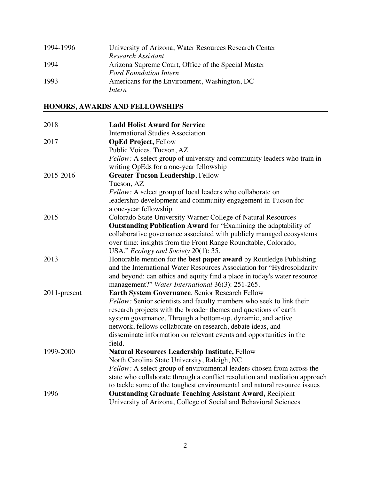| 1994-1996 | University of Arizona, Water Resources Research Center |
|-----------|--------------------------------------------------------|
|           | Research Assistant                                     |
| 1994      | Arizona Supreme Court, Office of the Special Master    |
|           | <b>Ford Foundation Intern</b>                          |
| 1993      | Americans for the Environment, Washington, DC          |
|           | Intern                                                 |

# **HONORS, AWARDS AND FELLOWSHIPS**

| 2018         | <b>Ladd Holist Award for Service</b><br><b>International Studies Association</b> |
|--------------|----------------------------------------------------------------------------------|
| 2017         | <b>OpEd Project, Fellow</b>                                                      |
|              | Public Voices, Tucson, AZ                                                        |
|              | Fellow: A select group of university and community leaders who train in          |
|              | writing OpEds for a one-year fellowship                                          |
| 2015-2016    | <b>Greater Tucson Leadership, Fellow</b>                                         |
|              | Tucson, AZ                                                                       |
|              | Fellow: A select group of local leaders who collaborate on                       |
|              | leadership development and community engagement in Tucson for                    |
|              | a one-year fellowship                                                            |
| 2015         | Colorado State University Warner College of Natural Resources                    |
|              | Outstanding Publication Award for "Examining the adaptability of                 |
|              |                                                                                  |
|              | collaborative governance associated with publicly managed ecosystems             |
|              | over time: insights from the Front Range Roundtable, Colorado,                   |
| 2013         | USA." Ecology and Society 20(1): 35.                                             |
|              | Honorable mention for the best paper award by Routledge Publishing               |
|              | and the International Water Resources Association for "Hydrosolidarity           |
|              | and beyond: can ethics and equity find a place in today's water resource         |
|              | management?" Water International 36(3): 251-265.                                 |
| 2011-present | Earth System Governance, Senior Research Fellow                                  |
|              | Fellow: Senior scientists and faculty members who seek to link their             |
|              | research projects with the broader themes and questions of earth                 |
|              | system governance. Through a bottom-up, dynamic, and active                      |
|              | network, fellows collaborate on research, debate ideas, and                      |
|              | disseminate information on relevant events and opportunities in the<br>field.    |
| 1999-2000    | <b>Natural Resources Leadership Institute, Fellow</b>                            |
|              | North Carolina State University, Raleigh, NC                                     |
|              | <i>Fellow:</i> A select group of environmental leaders chosen from across the    |
|              | state who collaborate through a conflict resolution and mediation approach       |
|              | to tackle some of the toughest environmental and natural resource issues         |
| 1996         | <b>Outstanding Graduate Teaching Assistant Award, Recipient</b>                  |
|              | University of Arizona, College of Social and Behavioral Sciences                 |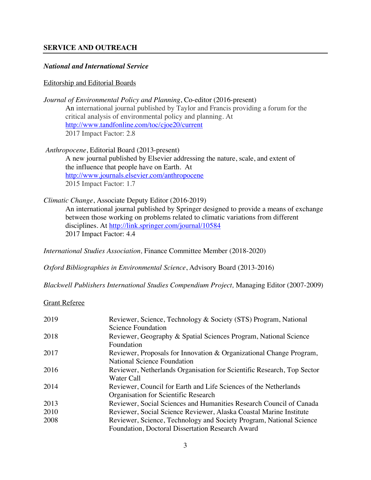### **SERVICE AND OUTREACH**

#### *National and International Service*

#### Editorship and Editorial Boards

*Journal of Environmental Policy and Planning*, Co-editor (2016-present) An international journal published by Taylor and Francis providing a forum for the critical analysis of environmental policy and planning. At http://www.tandfonline.com/toc/cjoe20/current 2017 Impact Factor: 2.8

*Anthropocene*, Editorial Board (2013-present) A new journal published by Elsevier addressing the nature, scale, and extent of the influence that people have on Earth. At http://www.journals.elsevier.com/anthropocene 2015 Impact Factor: 1.7

*Climatic Change*, Associate Deputy Editor (2016-2019) An international journal published by Springer designed to provide a means of exchange between those working on problems related to climatic variations from different disciplines. At http://link.springer.com/journal/10584 2017 Impact Factor: 4.4

*International Studies Association,* Finance Committee Member (2018-2020)

*Oxford Bibliographies in Environmental Science*, Advisory Board (2013-2016)

*Blackwell Publishers International Studies Compendium Project,* Managing Editor (2007-2009)

#### Grant Referee

| 2019 | Reviewer, Science, Technology & Society (STS) Program, National        |
|------|------------------------------------------------------------------------|
|      | <b>Science Foundation</b>                                              |
| 2018 | Reviewer, Geography & Spatial Sciences Program, National Science       |
|      | Foundation                                                             |
| 2017 | Reviewer, Proposals for Innovation & Organizational Change Program,    |
|      | <b>National Science Foundation</b>                                     |
| 2016 | Reviewer, Netherlands Organisation for Scientific Research, Top Sector |
|      | Water Call                                                             |
| 2014 | Reviewer, Council for Earth and Life Sciences of the Netherlands       |
|      | Organisation for Scientific Research                                   |
| 2013 | Reviewer, Social Sciences and Humanities Research Council of Canada    |
| 2010 | Reviewer, Social Science Reviewer, Alaska Coastal Marine Institute     |
| 2008 | Reviewer, Science, Technology and Society Program, National Science    |
|      | Foundation, Doctoral Dissertation Research Award                       |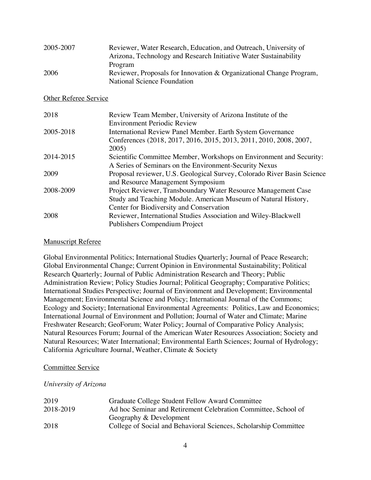| 2005-2007 | Reviewer, Water Research, Education, and Outreach, University of    |
|-----------|---------------------------------------------------------------------|
|           | Arizona, Technology and Research Initiative Water Sustainability    |
|           | Program                                                             |
| 2006      | Reviewer, Proposals for Innovation & Organizational Change Program, |
|           | National Science Foundation                                         |

#### Other Referee Service

| 2018      | Review Team Member, University of Arizona Institute of the              |
|-----------|-------------------------------------------------------------------------|
|           | <b>Environment Periodic Review</b>                                      |
| 2005-2018 | International Review Panel Member. Earth System Governance              |
|           | Conferences (2018, 2017, 2016, 2015, 2013, 2011, 2010, 2008, 2007,      |
|           | 2005)                                                                   |
| 2014-2015 | Scientific Committee Member, Workshops on Environment and Security:     |
|           | A Series of Seminars on the Environment-Security Nexus                  |
| 2009      | Proposal reviewer, U.S. Geological Survey, Colorado River Basin Science |
|           | and Resource Management Symposium                                       |
| 2008-2009 | Project Reviewer, Transboundary Water Resource Management Case          |
|           | Study and Teaching Module. American Museum of Natural History,          |
|           | Center for Biodiversity and Conservation                                |
| 2008      | Reviewer, International Studies Association and Wiley-Blackwell         |
|           | Publishers Compendium Project                                           |
|           |                                                                         |

#### Manuscript Referee

Global Environmental Politics; International Studies Quarterly; Journal of Peace Research; Global Environmental Change; Current Opinion in Environmental Sustainability; Political Research Quarterly; Journal of Public Administration Research and Theory; Public Administration Review; Policy Studies Journal; Political Geography; Comparative Politics; International Studies Perspective; Journal of Environment and Development; Environmental Management; Environmental Science and Policy; International Journal of the Commons; Ecology and Society; International Environmental Agreements: Politics, Law and Economics; International Journal of Environment and Pollution; Journal of Water and Climate; Marine Freshwater Research; GeoForum; Water Policy; Journal of Comparative Policy Analysis; Natural Resources Forum; Journal of the American Water Resources Association; Society and Natural Resources; Water International; Environmental Earth Sciences; Journal of Hydrology; California Agriculture Journal, Weather, Climate & Society

### Committee Service

### *University of Arizona*

| 2019      | Graduate College Student Fellow Award Committee                  |
|-----------|------------------------------------------------------------------|
| 2018-2019 | Ad hoc Seminar and Retirement Celebration Committee, School of   |
|           | Geography & Development                                          |
| 2018      | College of Social and Behavioral Sciences, Scholarship Committee |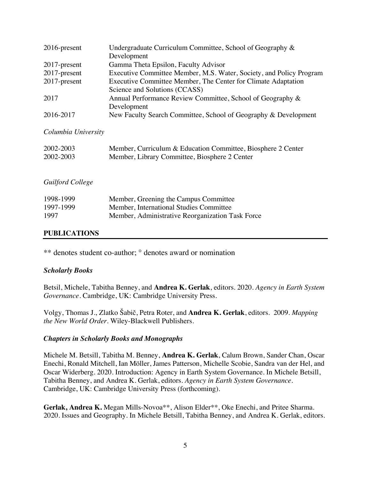| $2016$ -present | Undergraduate Curriculum Committee, School of Geography &           |
|-----------------|---------------------------------------------------------------------|
|                 | Development                                                         |
| $2017$ -present | Gamma Theta Epsilon, Faculty Advisor                                |
| 2017-present    | Executive Committee Member, M.S. Water, Society, and Policy Program |
| 2017-present    | Executive Committee Member, The Center for Climate Adaptation       |
|                 | Science and Solutions (CCASS)                                       |
| 2017            | Annual Performance Review Committee, School of Geography &          |
|                 | Development                                                         |
| 2016-2017       | New Faculty Search Committee, School of Geography & Development     |

*Columbia University*

| 2002-2003 | Member, Curriculum & Education Committee, Biosphere 2 Center |
|-----------|--------------------------------------------------------------|
| 2002-2003 | Member, Library Committee, Biosphere 2 Center                |

# *Guilford College*

| 1998-1999 | Member, Greening the Campus Committee            |
|-----------|--------------------------------------------------|
| 1997-1999 | Member, International Studies Committee          |
| 1997      | Member, Administrative Reorganization Task Force |

# **PUBLICATIONS**

\*\* denotes student co-author; ° denotes award or nomination

### *Scholarly Books*

Betsil, Michele, Tabitha Benney, and **Andrea K. Gerlak**, editors. 2020. *Agency in Earth System Governance*. Cambridge, UK: Cambridge University Press.

Volgy, Thomas J., Zlatko Šabič, Petra Roter, and **Andrea K. Gerlak**, editors. 2009. *Mapping the New World Order*. Wiley-Blackwell Publishers.

### *Chapters in Scholarly Books and Monographs*

Michele M. Betsill, Tabitha M. Benney, **Andrea K. Gerlak**, Calum Brown, Sander Chan, Oscar Enechi, Ronald Mitchell, Ian Möller, James Patterson, Michelle Scobie, Sandra van der Hel, and Oscar Widerberg. 2020. Introduction: Agency in Earth System Governance. In Michele Betsill, Tabitha Benney, and Andrea K. Gerlak, editors. *Agency in Earth System Governance*. Cambridge, UK: Cambridge University Press (forthcoming).

Gerlak, Andrea K. Megan Mills-Novoa<sup>\*\*</sup>, Alison Elder<sup>\*\*</sup>, Oke Enechi, and Pritee Sharma. 2020. Issues and Geography. In Michele Betsill, Tabitha Benney, and Andrea K. Gerlak, editors.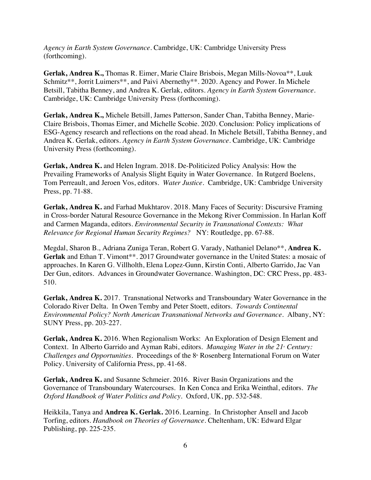*Agency in Earth System Governance*. Cambridge, UK: Cambridge University Press (forthcoming).

**Gerlak, Andrea K.,** Thomas R. Eimer, Marie Claire Brisbois, Megan Mills-Novoa\*\*, Luuk Schmitz\*\*, Jorrit Luimers\*\*, and Paivi Abernethy\*\*. 2020. Agency and Power. In Michele Betsill, Tabitha Benney, and Andrea K. Gerlak, editors. *Agency in Earth System Governance*. Cambridge, UK: Cambridge University Press (forthcoming).

**Gerlak, Andrea K.,** Michele Betsill, James Patterson, Sander Chan, Tabitha Benney, Marie-Claire Brisbois, Thomas Eimer, and Michelle Scobie. 2020. Conclusion: Policy implications of ESG-Agency research and reflections on the road ahead. In Michele Betsill, Tabitha Benney, and Andrea K. Gerlak, editors. *Agency in Earth System Governance*. Cambridge, UK: Cambridge University Press (forthcoming).

**Gerlak, Andrea K.** and Helen Ingram. 2018. De-Politicized Policy Analysis: How the Prevailing Frameworks of Analysis Slight Equity in Water Governance. In Rutgerd Boelens, Tom Perreault, and Jeroen Vos, editors. *Water Justice*. Cambridge, UK: Cambridge University Press, pp. 71-88.

**Gerlak, Andrea K.** and Farhad Mukhtarov. 2018. Many Faces of Security: Discursive Framing in Cross-border Natural Resource Governance in the Mekong River Commission. In Harlan Koff and Carmen Maganda, editors. *Environmental Security in Transnational Contexts: What Relevance for Regional Human Security Regimes?* NY: Routledge, pp. 67-88.

Megdal, Sharon B., Adriana Zuniga Teran, Robert G. Varady, Nathaniel Delano\*\*, **Andrea K.**  Gerlak and Ethan T. Vimont\*\*. 2017 Groundwater governance in the United States: a mosaic of approaches. In Karen G. Villholth, Elena Lopez-Gunn, Kirstin Conti, Alberto Garrido, Jac Van Der Gun, editors. Advances in Groundwater Governance. Washington, DC: CRC Press, pp. 483- 510.

**Gerlak, Andrea K.** 2017. Transnational Networks and Transboundary Water Governance in the Colorado River Delta. In Owen Temby and Peter Stoett, editors. *Towards Continental Environmental Policy? North American Transnational Networks and Governance*. Albany, NY: SUNY Press, pp. 203-227.

**Gerlak, Andrea K.** 2016. When Regionalism Works: An Exploration of Design Element and Context. In Alberto Garrido and Ayman Rabi, editors. *Managing Water in the 21<sup>s</sup>* Century: *Challenges and Opportunities.* Proceedings of the 8<sup>th</sup> Rosenberg International Forum on Water Policy. University of California Press, pp. 41-68.

**Gerlak, Andrea K.** and Susanne Schmeier. 2016. River Basin Organizations and the Governance of Transboundary Watercourses. In Ken Conca and Erika Weinthal, editors*. The Oxford Handbook of Water Politics and Policy*. Oxford, UK, pp. 532-548.

Heikkila, Tanya and **Andrea K. Gerlak.** 2016. Learning. In Christopher Ansell and Jacob Torfing, editors. *Handbook on Theories of Governance*. Cheltenham, UK: Edward Elgar Publishing, pp. 225-235.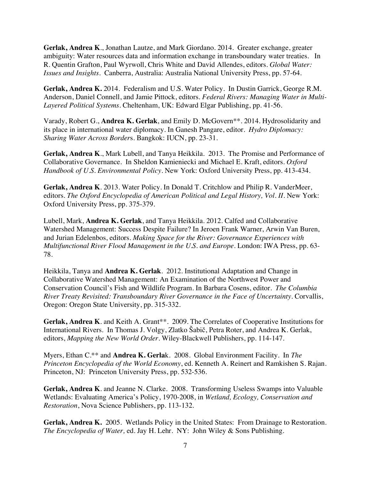**Gerlak, Andrea K**., Jonathan Lautze, and Mark Giordano. 2014. Greater exchange, greater ambiguity: Water resources data and information exchange in transboundary water treaties. In R. Quentin Grafton, Paul Wyrwoll, Chris White and David Allendes, editors. *Global Water: Issues and Insights*. Canberra, Australia: Australia National University Press, pp. 57-64.

**Gerlak, Andrea K.** 2014. Federalism and U.S. Water Policy. In Dustin Garrick, George R.M. Anderson, Daniel Connell, and Jamie Pittock, editors. *Federal Rivers: Managing Water in Multi-Layered Political Systems*. Cheltenham, UK: Edward Elgar Publishing, pp. 41-56.

Varady, Robert G., **Andrea K. Gerlak**, and Emily D. McGovern\*\*. 2014. Hydrosolidarity and its place in international water diplomacy. In Ganesh Pangare, editor. *Hydro Diplomacy: Sharing Water Across Border*s. Bangkok: IUCN, pp. 23-31.

**Gerlak, Andrea K**., Mark Lubell, and Tanya Heikkila. 2013. The Promise and Performance of Collaborative Governance. In Sheldon Kamieniecki and Michael E. Kraft, editors. *Oxford Handbook of U.S. Environmental Policy.* New York: Oxford University Press, pp. 413-434.

**Gerlak, Andrea K**. 2013. Water Policy. In Donald T. Critchlow and Philip R. VanderMeer, editors. *The Oxford Encyclopedia of American Political and Legal History, Vol. II*. New York: Oxford University Press, pp. 375-379.

Lubell, Mark, **Andrea K. Gerlak**, and Tanya Heikkila. 2012. Calfed and Collaborative Watershed Management: Success Despite Failure? In Jeroen Frank Warner, Arwin Van Buren, and Jurian Edelenbos, editors. *Making Space for the River: Governance Experiences with Multifunctional River Flood Management in the U.S. and Europe.* London: IWA Press, pp. 63- 78.

Heikkila, Tanya and **Andrea K. Gerlak**. 2012. Institutional Adaptation and Change in Collaborative Watershed Management: An Examination of the Northwest Power and Conservation Council's Fish and Wildlife Program. In Barbara Cosens, editor. *The Columbia River Treaty Revisited: Transboundary River Governance in the Face of Uncertainty*. Corvallis, Oregon: Oregon State University, pp. 315-332.

Gerlak, Andrea K. and Keith A. Grant\*\*. 2009. The Correlates of Cooperative Institutions for International Rivers. In Thomas J. Volgy, Zlatko Šabič, Petra Roter, and Andrea K. Gerlak, editors, *Mapping the New World Order*. Wiley-Blackwell Publishers, pp. 114-147.

Myers, Ethan C.\*\* and **Andrea K. Gerla**k. 2008. Global Environment Facility. In *The Princeton Encyclopedia of the World Economy*, ed. Kenneth A. Reinert and Ramkishen S. Rajan. Princeton, NJ: Princeton University Press, pp. 532-536.

**Gerlak, Andrea K**. and Jeanne N. Clarke. 2008. Transforming Useless Swamps into Valuable Wetlands: Evaluating America's Policy, 1970-2008, in *Wetland, Ecology, Conservation and Restoration*, Nova Science Publishers, pp. 113-132.

**Gerlak, Andrea K.** 2005. Wetlands Policy in the United States: From Drainage to Restoration. *The Encyclopedia of Water,* ed. Jay H. Lehr. NY: John Wiley & Sons Publishing.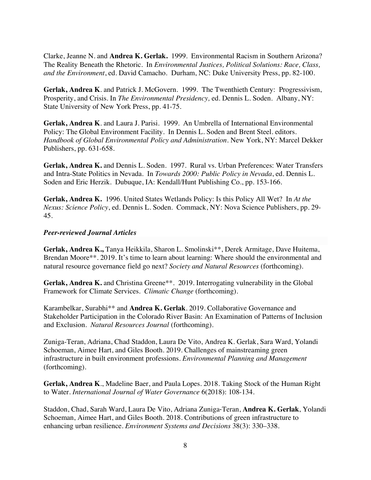Clarke, Jeanne N. and **Andrea K. Gerlak.** 1999. Environmental Racism in Southern Arizona? The Reality Beneath the Rhetoric. In *Environmental Justices, Political Solutions: Race, Class, and the Environment*, ed. David Camacho*.* Durham, NC: Duke University Press, pp. 82-100.

**Gerlak, Andrea K**. and Patrick J. McGovern. 1999. The Twenthieth Century: Progressivism, Prosperity, and Crisis. In *The Environmental Presidency,* ed. Dennis L. Soden. Albany, NY: State University of New York Press, pp. 41-75.

**Gerlak, Andrea K**. and Laura J. Parisi. 1999. An Umbrella of International Environmental Policy: The Global Environment Facility. In Dennis L. Soden and Brent Steel. editors. *Handbook of Global Environmental Policy and Administration.* New York, NY: Marcel Dekker Publishers, pp. 631-658.

**Gerlak, Andrea K.** and Dennis L. Soden. 1997. Rural vs. Urban Preferences: Water Transfers and Intra-State Politics in Nevada. In *Towards 2000: Public Policy in Nevada*, ed. Dennis L. Soden and Eric Herzik. Dubuque, IA: Kendall/Hunt Publishing Co., pp. 153-166.

**Gerlak, Andrea K.** 1996. United States Wetlands Policy: Is this Policy All Wet? In *At the Nexus: Science Policy*, ed. Dennis L. Soden*.* Commack, NY: Nova Science Publishers, pp. 29- 45.

#### *Peer-reviewed Journal Articles*

**Gerlak, Andrea K.,** Tanya Heikkila, Sharon L. Smolinski\*\*, Derek Armitage, Dave Huitema, Brendan Moore\*\*. 2019. It's time to learn about learning: Where should the environmental and natural resource governance field go next? *Society and Natural Resources* (forthcoming).

Gerlak, Andrea K. and Christina Greene\*\*. 2019. Interrogating vulnerability in the Global Framework for Climate Services. *Climatic Change* (forthcoming).

Karambelkar, Surabhi\*\* and **Andrea K. Gerlak**. 2019. Collaborative Governance and Stakeholder Participation in the Colorado River Basin: An Examination of Patterns of Inclusion and Exclusion. *Natural Resources Journal* (forthcoming).

Zuniga-Teran, Adriana, Chad Staddon, Laura De Vito, Andrea K. Gerlak, Sara Ward, Yolandi Schoeman, Aimee Hart, and Giles Booth. 2019. Challenges of mainstreaming green infrastructure in built environment professions. *Environmental Planning and Management* (forthcoming).

**Gerlak, Andrea K**., Madeline Baer, and Paula Lopes. 2018. Taking Stock of the Human Right to Water. *International Journal of Water Governance* 6(2018): 108-134.

Staddon, Chad, Sarah Ward, Laura De Vito, Adriana Zuniga-Teran, **Andrea K. Gerlak**, Yolandi Schoeman, Aimee Hart, and Giles Booth. 2018. Contributions of green infrastructure to enhancing urban resilience. *Environment Systems and Decisions* 38(3): 330–338.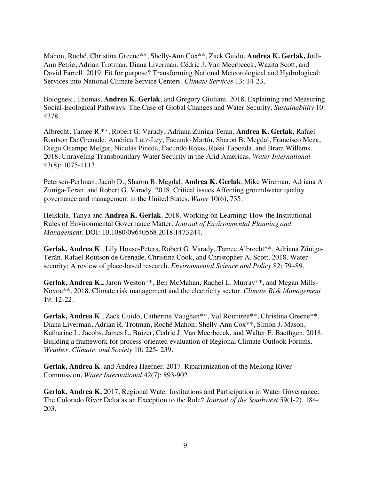Mahon, Roché, Christina Greene\*\*, Shelly-Ann Cox\*\*, Zack Guido, **Andrea K. Gerlak,** Jodi-Ann Petrie, Adrian Trotman, Diana Liverman, Cédric J. Van Meerbeeck, Wazita Scott, and David Farrell. 2019. Fit for purpose? Transforming National Meteorological and Hydrological: Services into National Climate Service Centers. *Climate Services* 13: 14-23.

Bolognesi, Thomas, **Andrea K. Gerlak**, and Gregory Giuliani. 2018. Explaining and Measuring Social-Ecological Pathways: The Case of Global Changes and Water Security. *Sustainability* 10: 4378.

Albrecht, Tamee R.\*\*, Robert G. Varady, Adriana Zuniga-Teran, **Andrea K. Gerlak**, Rafael Routson De Grenade, América Lutz-Ley, Facundo Martín, Sharon B. Megdal, Francisco Meza, Diego Ocampo Melgar, Nicolás Pineda, Facundo Rojas, Rossi Taboada, and Bram Willems. 2018. Unraveling Transboundary Water Security in the Arid Americas. *Water International* 43(8): 1075-1113.

Petersen-Perlman, Jacob D., Sharon B. Megdal, **Andrea K. Gerlak**, Mike Wireman, Adriana A Zuniga-Teran, and Robert G. Varady. 2018. Critical issues Affecting groundwater quality governance and management in the United States. *Water* 10(6), 735.

Heikkila, Tanya and **Andrea K. Gerlak**. 2018. Working on Learning: How the Institutional Rules of Environmental Governance Matter. *Journal of Environmental Planning and Management*. DOI: 10.1080/09640568.2018.1473244.

**Gerlak, Andrea K**., Lily House-Peters, Robert G. Varady, Tamee Albrecht\*\*, Adriana Zúñiga-Terán, Rafael Routson de Grenade, Christina Cook, and Christopher A. Scott. 2018. Water security: A review of place-based research. *Environmental Science and Policy* 82: 79–89.

**Gerlak, Andrea K.,** Jaron Weston\*\*, Ben McMahan, Rachel L. Murray\*\*, and Megan Mills-Novoa\*\*. 2018. Climate risk management and the electricity sector. *Climate Risk Management* 19: 12-22.

**Gerlak, Andrea K**., Zack Guido, Catherine Vaughan\*\*, Val Rountree\*\*, Christina Greene\*\*, Diana Liverman, Adrian R. Trotman, Roché Mahon, Shelly-Ann Cox\*\*, Simon J. Mason, Katharine L. Jacobs, James L. Buizer, Cedric J. Van Meerbeeck, and Walter E. Baethgen. 2018. Building a framework for process-oriented evaluation of Regional Climate Outlook Forums. *Weather, Climate, and Society* 10: 225- 239.

**Gerlak, Andrea K**. and Andrea Haefner. 2017. Riparianization of the Mekong River Commission, *Water International* 42(7): 893-902.

**Gerlak, Andrea K.** 2017. Regional Water Institutions and Participation in Water Governance: The Colorado River Delta as an Exception to the Rule? *Journal of the Southwest* 59(1-2), 184- 203.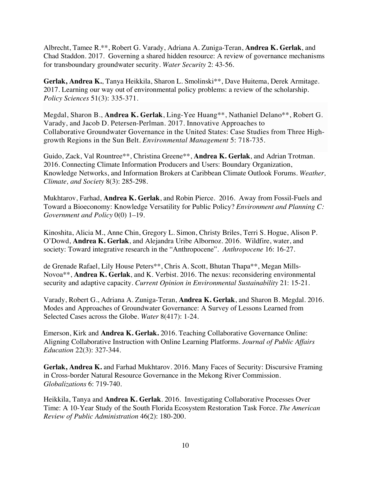Albrecht, Tamee R.\*\*, Robert G. Varady, Adriana A. Zuniga-Teran, **Andrea K. Gerlak**, and Chad Staddon. 2017. Governing a shared hidden resource: A review of governance mechanisms for transboundary groundwater security. *Water Security* 2: 43-56.

**Gerlak, Andrea K.**, Tanya Heikkila, Sharon L. Smolinski\*\*, Dave Huitema, Derek Armitage. 2017. Learning our way out of environmental policy problems: a review of the scholarship. *Policy Sciences* 51(3): 335-371.

Megdal, Sharon B., **Andrea K. Gerlak**, Ling-Yee Huang\*\*, Nathaniel Delano\*\*, Robert G. Varady, and Jacob D. Petersen-Perlman. 2017. Innovative Approaches to Collaborative Groundwater Governance in the United States: Case Studies from Three Highgrowth Regions in the Sun Belt. *Environmental Management* 5: 718-735.

Guido, Zack, Val Rountree\*\*, Christina Greene\*\*, **Andrea K. Gerlak**, and Adrian Trotman. 2016. Connecting Climate Information Producers and Users: Boundary Organization, Knowledge Networks, and Information Brokers at Caribbean Climate Outlook Forums. *Weather, Climate, and Society* 8(3): 285-298.

Mukhtarov, Farhad, **Andrea K. Gerlak**, and Robin Pierce. 2016. Away from Fossil-Fuels and Toward a Bioeconomy: Knowledge Versatility for Public Policy? *Environment and Planning C: Government and Policy* 0(0) 1–19.

Kinoshita, Alicia M., Anne Chin, Gregory L. Simon, Christy Briles, Terri S. Hogue, Alison P. O'Dowd, **Andrea K. Gerlak**, and Alejandra Uribe Albornoz. 2016. Wildfire, water, and society: Toward integrative research in the "Anthropocene". *Anthropocene* 16: 16-27.

de Grenade Rafael, Lily House Peters\*\*, Chris A. Scott, Bhutan Thapa\*\*, Megan Mills-Novoa\*\*, **Andrea K. Gerlak**, and K. Verbist. 2016. The nexus: reconsidering environmental security and adaptive capacity. *Current Opinion in Environmental Sustainability* 21: 15-21.

Varady, Robert G., Adriana A. Zuniga-Teran, **Andrea K. Gerlak**, and Sharon B. Megdal. 2016. Modes and Approaches of Groundwater Governance: A Survey of Lessons Learned from Selected Cases across the Globe. *Water* 8(417): 1-24.

Emerson, Kirk and **Andrea K. Gerlak.** 2016. Teaching Collaborative Governance Online: Aligning Collaborative Instruction with Online Learning Platforms. *Journal of Public Affairs Education* 22(3): 327-344.

**Gerlak, Andrea K.** and Farhad Mukhtarov. 2016. Many Faces of Security: Discursive Framing in Cross-border Natural Resource Governance in the Mekong River Commission. *Globalizations* 6: 719-740.

Heikkila, Tanya and **Andrea K. Gerlak**. 2016. Investigating Collaborative Processes Over Time: A 10-Year Study of the South Florida Ecosystem Restoration Task Force. *The American Review of Public Administration* 46(2): 180-200.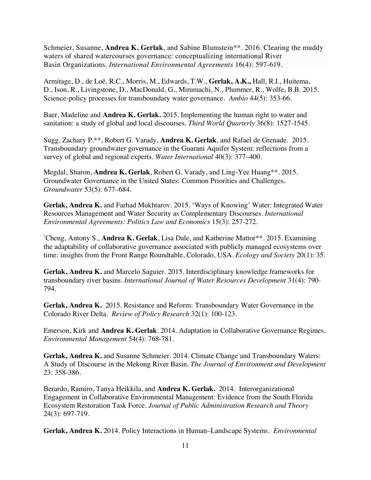Schmeier, Susanne, **Andrea K. Gerlak**, and Sabine Blumstein\*\*. 2016. Clearing the muddy waters of shared watercourses governance: conceptualizing international River Basin Organizations. *International Environmental Agreements* 16(4): 597-619.

Armitage, D., de Loë, R.C., Morris, M., Edwards, T.W., **Gerlak, A.K.,** Hall, R.I., Huitema, D., Ison, R., Livingstone, D., MacDonald, G., Mirumachi, N., Plummer, R., Wolfe, B.B. 2015. Science-policy processes for transboundary water governance. *Ambio* 44(5): 353-66.

Baer, Madeline and **Andrea K. Gerlak.** 2015. Implementing the human right to water and sanitation: a study of global and local discourses. *Third World Quarterly* 36(8): 1527-1545.

Sugg, Zachary P.\*\*, Robert G. Varady, **Andrea K. Gerlak**, and Rafael de Grenade. 2015. Transboundary groundwater governance in the Guarani Aquifer System: reflections from a survey of global and regional experts. *Water International* 40(3): 377–400.

Megdal, Sharon, **Andrea K. Gerlak**, Robert G. Varady, and Ling-Yee Huang\*\*. 2015. Groundwater Governance in the United States: Common Priorities and Challenges. *Groundwater* 53(5): 677–684.

**Gerlak, Andrea K.** and Farhad Mukhtarov. 2015. 'Ways of Knowing' Water: Integrated Water Resources Management and Water Security as Complementary Discourses. *International Environmental Agreements: Politics Law and Economics* 15(3): 257-272.

° Cheng, Antony S., **Andrea K. Gerlak**, Lisa Dale, and Katherine Mattor\*\*. 2015. Examining the adaptability of collaborative governance associated with publicly managed ecosystems over time: insights from the Front Range Roundtable, Colorado, USA. *Ecology and Society* 20(1): 35.

**Gerlak, Andrea K.** and Marcelo Saguier. 2015. Interdisciplinary knowledge frameworks for transboundary river basins. *International Journal of Water Resources Development* 31(4): 790- 794.

**Gerlak, Andrea K.** 2015. Resistance and Reform: Transboundary Water Governance in the Colorado River Delta. *Review of Policy Research* 32(1): 100-123.

Emerson, Kirk and **Andrea K. Gerlak**. 2014. Adaptation in Collaborative Governance Regimes. *Environmental Management* 54(4): 768-781.

**Gerlak, Andrea K.** and Susanne Schmeier. 2014. Climate Change and Transboundary Waters: A Study of Discourse in the Mekong River Basin. *The Journal of Environment and Development*  23: 358-386.

Berardo, Ramiro, Tanya Heikkila, and **Andrea K. Gerlak.** 2014. Interorganizational Engagement in Collaborative Environmental Management: Evidence from the South Florida Ecosystem Restoration Task Force. *Journal of Public Administration Research and Theory* 24(3): 697-719.

**Gerlak, Andrea K.** 2014. Policy Interactions in Human–Landscape Systems. *Environmental*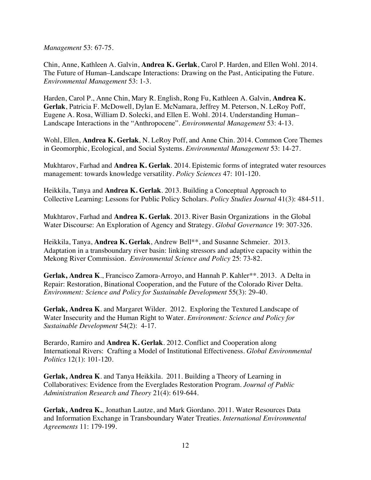*Management* 53: 67-75.

Chin, Anne, Kathleen A. Galvin, **Andrea K. Gerlak**, Carol P. Harden, and Ellen Wohl. 2014. The Future of Human–Landscape Interactions: Drawing on the Past, Anticipating the Future. *Environmental Management* 53: 1-3.

Harden, Carol P., Anne Chin, Mary R. English, Rong Fu, Kathleen A. Galvin, **Andrea K. Gerlak**, Patricia F. McDowell, Dylan E. McNamara, Jeffrey M. Peterson, N. LeRoy Poff, Eugene A. Rosa, William D. Solecki, and Ellen E. Wohl. 2014. Understanding Human– Landscape Interactions in the "Anthropocene". *Environmental Management* 53: 4-13.

Wohl, Ellen, **Andrea K. Gerlak**, N. LeRoy Poff, and Anne Chin. 2014. Common Core Themes in Geomorphic, Ecological, and Social Systems. *Environmental Management* 53: 14-27.

Mukhtarov, Farhad and **Andrea K. Gerlak**. 2014. Epistemic forms of integrated water resources management: towards knowledge versatility. *Policy Sciences* 47: 101-120.

Heikkila, Tanya and **Andrea K. Gerlak**. 2013. Building a Conceptual Approach to Collective Learning: Lessons for Public Policy Scholars. *Policy Studies Journal* 41(3): 484-511.

Mukhtarov, Farhad and **Andrea K. Gerlak**. 2013. River Basin Organizations in the Global Water Discourse: An Exploration of Agency and Strategy. *Global Governance* 19: 307-326.

Heikkila, Tanya, **Andrea K. Gerlak**, Andrew Bell\*\*, and Susanne Schmeier. 2013. Adaptation in a transboundary river basin: linking stressors and adaptive capacity within the Mekong River Commission. *Environmental Science and Policy* 25: 73-82.

**Gerlak, Andrea K**., Francisco Zamora-Arroyo, and Hannah P. Kahler\*\*. 2013. A Delta in Repair: Restoration, Binational Cooperation, and the Future of the Colorado River Delta. *Environment: Science and Policy for Sustainable Development* 55(3): 29-40.

**Gerlak, Andrea K**. and Margaret Wilder. 2012. Exploring the Textured Landscape of Water Insecurity and the Human Right to Water. *Environment: Science and Policy for Sustainable Development* 54(2): 4-17.

Berardo, Ramiro and **Andrea K. Gerlak**. 2012. Conflict and Cooperation along International Rivers: Crafting a Model of Institutional Effectiveness. *Global Environmental Politics* 12(1): 101-120.

**Gerlak, Andrea K**. and Tanya Heikkila. 2011. Building a Theory of Learning in Collaboratives: Evidence from the Everglades Restoration Program. *Journal of Public Administration Research and Theory* 21(4): 619-644.

**Gerlak, Andrea K.**, Jonathan Lautze, and Mark Giordano. 2011. Water Resources Data and Information Exchange in Transboundary Water Treaties. *International Environmental Agreements* 11: 179-199.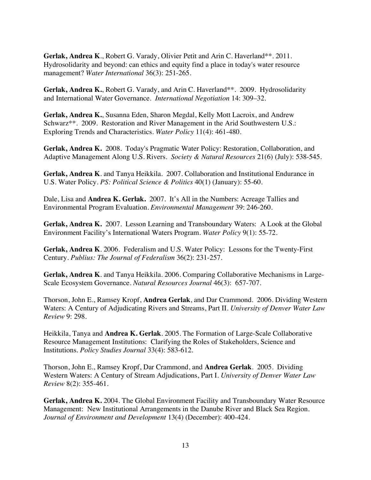**Gerlak, Andrea K**., Robert G. Varady, Olivier Petit and Arin C. Haverland\*\*. 2011. Hydrosolidarity and beyond: can ethics and equity find a place in today's water resource management? *Water International* 36(3): 251-265.

**Gerlak, Andrea K.**, Robert G. Varady, and Arin C. Haverland\*\*. 2009. Hydrosolidarity and International Water Governance. *International Negotiation* 14: 309–32.

**Gerlak, Andrea K.**, Susanna Eden, Sharon Megdal, Kelly Mott Lacroix, and Andrew Schwarz\*\*. 2009. Restoration and River Management in the Arid Southwestern U.S.: Exploring Trends and Characteristics. *Water Policy* 11(4): 461-480.

**Gerlak, Andrea K.** 2008. Today's Pragmatic Water Policy: Restoration, Collaboration, and Adaptive Management Along U.S. Rivers. *Society & Natural Resources* 21(6) (July): 538-545.

**Gerlak, Andrea K**. and Tanya Heikkila. 2007. Collaboration and Institutional Endurance in U.S. Water Policy. *PS: Political Science & Politics* 40(1) (January): 55-60.

Dale, Lisa and **Andrea K. Gerlak.** 2007. It's All in the Numbers: Acreage Tallies and Environmental Program Evaluation. *Environmental Management* 39: 246-260.

**Gerlak, Andrea K.** 2007. Lesson Learning and Transboundary Waters: A Look at the Global Environment Facility's International Waters Program. *Water Policy* 9(1): 55-72.

**Gerlak, Andrea K**. 2006. Federalism and U.S. Water Policy: Lessons for the Twenty-First Century. *Publius: The Journal of Federalism* 36(2): 231-257.

**Gerlak, Andrea K**. and Tanya Heikkila. 2006. Comparing Collaborative Mechanisms in Large-Scale Ecosystem Governance. *Natural Resources Journal* 46(3): 657-707.

Thorson, John E., Ramsey Kropf, **Andrea Gerlak**, and Dar Crammond. 2006. Dividing Western Waters: A Century of Adjudicating Rivers and Streams, Part II. *University of Denver Water Law Review* 9: 298.

Heikkila, Tanya and **Andrea K. Gerlak**. 2005. The Formation of Large-Scale Collaborative Resource Management Institutions: Clarifying the Roles of Stakeholders, Science and Institutions. *Policy Studies Journal* 33(4): 583-612.

Thorson, John E., Ramsey Kropf, Dar Crammond, and **Andrea Gerlak**. 2005. Dividing Western Waters: A Century of Stream Adjudications, Part I. *University of Denver Water Law Review* 8(2): 355-461.

**Gerlak, Andrea K.** 2004. The Global Environment Facility and Transboundary Water Resource Management: New Institutional Arrangements in the Danube River and Black Sea Region. *Journal of Environment and Development* 13(4) (December): 400-424.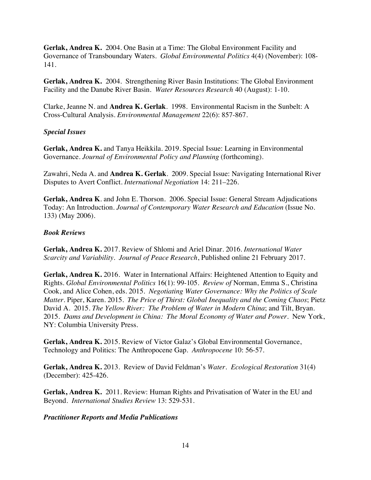**Gerlak, Andrea K.** 2004. One Basin at a Time: The Global Environment Facility and Governance of Transboundary Waters. *Global Environmental Politics* 4(4) (November): 108- 141.

**Gerlak, Andrea K.** 2004. Strengthening River Basin Institutions: The Global Environment Facility and the Danube River Basin. *Water Resources Research* 40 (August): 1-10.

Clarke, Jeanne N. and **Andrea K. Gerlak**. 1998. Environmental Racism in the Sunbelt: A Cross-Cultural Analysis. *Environmental Management* 22(6): 857-867.

# *Special Issues*

**Gerlak, Andrea K.** and Tanya Heikkila. 2019. Special Issue: Learning in Environmental Governance. *Journal of Environmental Policy and Planning* (forthcoming).

Zawahri, Neda A. and **Andrea K. Gerlak**. 2009. Special Issue: Navigating International River Disputes to Avert Conflict. *International Negotiation* 14: 211–226.

**Gerlak, Andrea K**. and John E. Thorson. 2006. Special Issue: General Stream Adjudications Today: An Introduction. *Journal of Contemporary Water Research and Education* (Issue No. 133) (May 2006).

### *Book Reviews*

**Gerlak, Andrea K.** 2017. Review of Shlomi and Ariel Dinar. 2016. *International Water Scarcity and Variability*. *Journal of Peace Research*, Published online 21 February 2017.

**Gerlak, Andrea K.** 2016.Water in International Affairs: Heightened Attention to Equity and Rights. *Global Environmental Politics* 16(1): 99-105. *Review of* Norman, Emma S., Christina Cook, and Alice Cohen, eds. 2015. *Negotiating Water Governance: Why the Politics of Scale Matter*. Piper, Karen. 2015. *The Price of Thirst: Global Inequality and the Coming Chaos*; Pietz David A. 2015. *The Yellow River: The Problem of Water in Modern China*; and Tilt, Bryan. 2015. *Dams and Development in China: The Moral Economy of Water and Power.* New York, NY: Columbia University Press.

**Gerlak, Andrea K.** 2015. Review of Victor Galaz's Global Environmental Governance, Technology and Politics: The Anthropocene Gap. *Anthropocene* 10: 56-57.

**Gerlak, Andrea K.** 2013. Review of David Feldman's *Water. Ecological Restoration* 31(4) (December): 425-426.

**Gerlak, Andrea K.** 2011. Review: Human Rights and Privatisation of Water in the EU and Beyond. *International Studies Review* 13: 529-531.

*Practitioner Reports and Media Publications*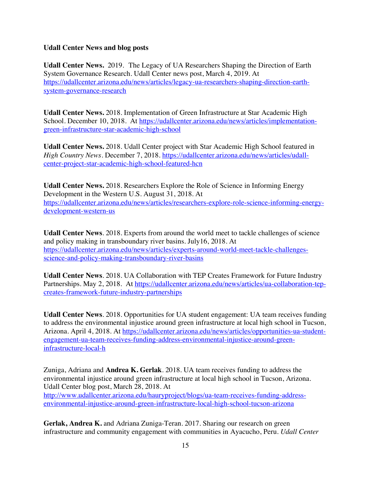# **Udall Center News and blog posts**

**Udall Center News.** 2019. The Legacy of UA Researchers Shaping the Direction of Earth System Governance Research. Udall Center news post, March 4, 2019. At https://udallcenter.arizona.edu/news/articles/legacy-ua-researchers-shaping-direction-earthsystem-governance-research

**Udall Center News.** 2018. Implementation of Green Infrastructure at Star Academic High School. December 10, 2018. At https://udallcenter.arizona.edu/news/articles/implementationgreen-infrastructure-star-academic-high-school

**Udall Center News.** 2018. Udall Center project with Star Academic High School featured in *High Country News*. December 7, 2018. https://udallcenter.arizona.edu/news/articles/udallcenter-project-star-academic-high-school-featured-hcn

**Udall Center News.** 2018. Researchers Explore the Role of Science in Informing Energy Development in the Western U.S. August 31, 2018. At https://udallcenter.arizona.edu/news/articles/researchers-explore-role-science-informing-energydevelopment-western-us

**Udall Center News**. 2018. Experts from around the world meet to tackle challenges of science and policy making in transboundary river basins. July16, 2018. At https://udallcenter.arizona.edu/news/articles/experts-around-world-meet-tackle-challengesscience-and-policy-making-transboundary-river-basins

**Udall Center News**. 2018. UA Collaboration with TEP Creates Framework for Future Industry Partnerships. May 2, 2018. At https://udallcenter.arizona.edu/news/articles/ua-collaboration-tepcreates-framework-future-industry-partnerships

**Udall Center News**. 2018. Opportunities for UA student engagement: UA team receives funding to address the environmental injustice around green infrastructure at local high school in Tucson, Arizona. April 4, 2018. At https://udallcenter.arizona.edu/news/articles/opportunities-ua-studentengagement-ua-team-receives-funding-address-environmental-injustice-around-greeninfrastructure-local-h

Zuniga, Adriana and **Andrea K. Gerlak**. 2018. UA team receives funding to address the environmental injustice around green infrastructure at local high school in Tucson, Arizona. Udall Center blog post, March 28, 2018. At http://www.udallcenter.arizona.edu/hauryproject/blogs/ua-team-receives-funding-addressenvironmental-injustice-around-green-infrastructure-local-high-school-tucson-arizona

**Gerlak, Andrea K.** and Adriana Zuniga-Teran. 2017. Sharing our research on green infrastructure and community engagement with communities in Ayacucho, Peru. *Udall Center*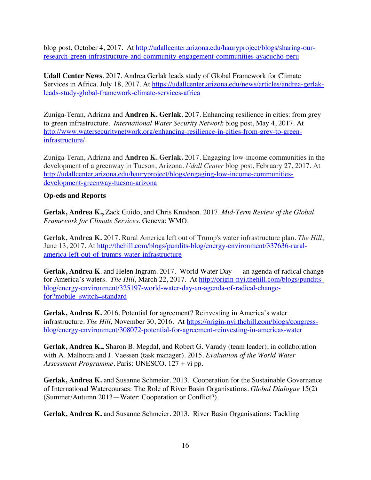blog post, October 4, 2017. At http://udallcenter.arizona.edu/hauryproject/blogs/sharing-ourresearch-green-infrastructure-and-community-engagement-communities-ayacucho-peru

**Udall Center News**. 2017. Andrea Gerlak leads study of Global Framework for Climate Services in Africa. July 18, 2017. At https://udallcenter.arizona.edu/news/articles/andrea-gerlakleads-study-global-framework-climate-services-africa

Zuniga-Teran, Adriana and **Andrea K. Gerlak**. 2017. Enhancing resilience in cities: from grey to green infrastructure. *International Water Security Network* blog post, May 4, 2017. At http://www.watersecuritynetwork.org/enhancing-resilience-in-cities-from-grey-to-greeninfrastructure/

Zuniga-Teran, Adriana and **Andrea K. Gerlak.** 2017. Engaging low-income communities in the development of a greenway in Tucson, Arizona. *Udall Center* blog post, February 27, 2017. At http://udallcenter.arizona.edu/hauryproject/blogs/engaging-low-income-communitiesdevelopment-greenway-tucson-arizona

# **Op-eds and Reports**

**Gerlak, Andrea K.,** Zack Guido, and Chris Knudson. 2017. *Mid-Term Review of the Global Framework for Climate Services*. Geneva: WMO.

**Gerlak, Andrea K.** 2017. Rural America left out of Trump's water infrastructure plan. *The Hill*, June 13, 2017. At http://thehill.com/blogs/pundits-blog/energy-environment/337636-ruralamerica-left-out-of-trumps-water-infrastructure

**Gerlak, Andrea K**. and Helen Ingram. 2017. World Water Day — an agenda of radical change for America's waters. *The Hill*, March 22, 2017. At http://origin-nyi.thehill.com/blogs/punditsblog/energy-environment/325197-world-water-day-an-agenda-of-radical-changefor?mobile\_switch=standard

**Gerlak, Andrea K.** 2016. Potential for agreement? Reinvesting in America's water infrastructure. *The Hill*, November 30, 2016. At https://origin-nyi.thehill.com/blogs/congressblog/energy-environment/308072-potential-for-agreement-reinvesting-in-americas-water

**Gerlak, Andrea K.,** Sharon B. Megdal, and Robert G. Varady (team leader), in collaboration with A. Malhotra and J. Vaessen (task manager). 2015. *Evaluation of the World Water Assessment Programme*. Paris: UNESCO. 127 + vi pp.

**Gerlak, Andrea K.** and Susanne Schmeier. 2013. Cooperation for the Sustainable Governance of International Watercourses: The Role of River Basin Organisations. *Global Dialogue* 15(2) (Summer/Autumn 2013—Water: Cooperation or Conflict?).

**Gerlak, Andrea K.** and Susanne Schmeier. 2013. River Basin Organisations: Tackling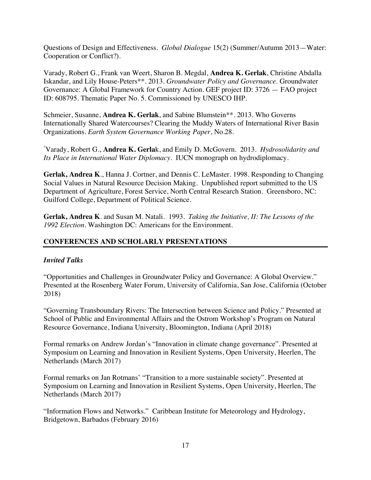Questions of Design and Effectiveness. *Global Dialogue* 15(2) (Summer/Autumn 2013—Water: Cooperation or Conflict?).

Varady, Robert G., Frank van Weert, Sharon B. Megdal, **Andrea K. Gerlak**, Christine Abdalla Iskandar, and Lily House-Peters\*\*. 2013. *Groundwater Policy and Governance.* Groundwater Governance: A Global Framework for Country Action. GEF project ID: 3726 — FAO project ID: 608795. Thematic Paper No. 5. Commissioned by UNESCO IHP.

Schmeier, Susanne, **Andrea K. Gerlak**, and Sabine Blumstein\*\*. 2013. Who Governs Internationally Shared Watercourses? Clearing the Muddy Waters of International River Basin Organizations. *Earth System Governance Working Paper*, No.28.

° Varady, Robert G., **Andrea K. Gerla**k, and Emily D. McGovern. 2013. *Hydrosolidarity and Its Place in International Water Diplomacy*. IUCN monograph on hydrodiplomacy.

**Gerlak, Andrea K**., Hanna J. Cortner, and Dennis C. LeMaster. 1998. Responding to Changing Social Values in Natural Resource Decision Making. Unpublished report submitted to the US Department of Agriculture, Forest Service, North Central Research Station. Greensboro, NC: Guilford College, Department of Political Science.

**Gerlak, Andrea K**. and Susan M. Natali. 1993. *Taking the Initiative, II: The Lessons of the 1992 Election*. Washington DC: Americans for the Environment.

# **CONFERENCES AND SCHOLARLY PRESENTATIONS**

# *Invited Talks*

"Opportunities and Challenges in Groundwater Policy and Governance: A Global Overview." Presented at the Rosenberg Water Forum, University of California, San Jose, California (October 2018)

"Governing Transboundary Rivers: The Intersection between Science and Policy." Presented at School of Public and Environmental Affairs and the Ostrom Workshop's Program on Natural Resource Governance, Indiana University, Bloomington, Indiana (April 2018)

Formal remarks on Andrew Jordan's "Innovation in climate change governance". Presented at Symposium on Learning and Innovation in Resilient Systems, Open University, Heerlen, The Netherlands (March 2017)

Formal remarks on Jan Rotmans' "Transition to a more sustainable society". Presented at Symposium on Learning and Innovation in Resilient Systems, Open University, Heerlen, The Netherlands (March 2017)

"Information Flows and Networks." Caribbean Institute for Meteorology and Hydrology, Bridgetown, Barbados (February 2016)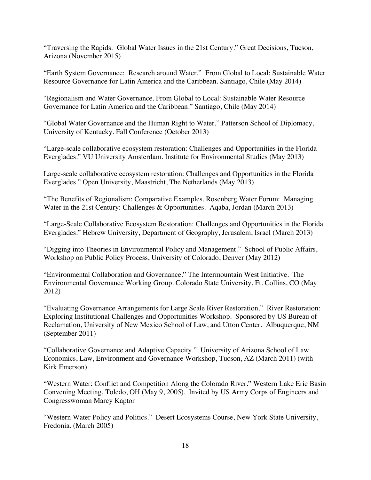"Traversing the Rapids: Global Water Issues in the 21st Century." Great Decisions, Tucson, Arizona (November 2015)

"Earth System Governance: Research around Water." From Global to Local: Sustainable Water Resource Governance for Latin America and the Caribbean. Santiago, Chile (May 2014)

"Regionalism and Water Governance. From Global to Local: Sustainable Water Resource Governance for Latin America and the Caribbean." Santiago, Chile (May 2014)

"Global Water Governance and the Human Right to Water." Patterson School of Diplomacy, University of Kentucky. Fall Conference (October 2013)

"Large-scale collaborative ecosystem restoration: Challenges and Opportunities in the Florida Everglades." VU University Amsterdam. Institute for Environmental Studies (May 2013)

Large-scale collaborative ecosystem restoration: Challenges and Opportunities in the Florida Everglades." Open University, Maastricht, The Netherlands (May 2013)

"The Benefits of Regionalism: Comparative Examples. Rosenberg Water Forum: Managing Water in the 21st Century: Challenges & Opportunities. Aqaba, Jordan (March 2013)

"Large-Scale Collaborative Ecosystem Restoration: Challenges and Opportunities in the Florida Everglades." Hebrew University, Department of Geography, Jerusalem, Israel (March 2013)

"Digging into Theories in Environmental Policy and Management." School of Public Affairs, Workshop on Public Policy Process, University of Colorado, Denver (May 2012)

"Environmental Collaboration and Governance." The Intermountain West Initiative. The Environmental Governance Working Group. Colorado State University, Ft. Collins, CO (May 2012)

"Evaluating Governance Arrangements for Large Scale River Restoration." River Restoration: Exploring Institutional Challenges and Opportunities Workshop. Sponsored by US Bureau of Reclamation, University of New Mexico School of Law, and Utton Center. Albuquerque, NM (September 2011)

"Collaborative Governance and Adaptive Capacity." University of Arizona School of Law. Economics, Law, Environment and Governance Workshop, Tucson, AZ (March 2011) (with Kirk Emerson)

"Western Water: Conflict and Competition Along the Colorado River." Western Lake Erie Basin Convening Meeting, Toledo, OH (May 9, 2005). Invited by US Army Corps of Engineers and Congresswoman Marcy Kaptor

"Western Water Policy and Politics." Desert Ecosystems Course, New York State University, Fredonia. (March 2005)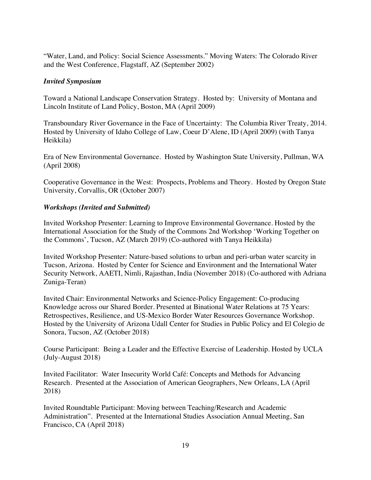"Water, Land, and Policy: Social Science Assessments." Moving Waters: The Colorado River and the West Conference, Flagstaff, AZ (September 2002)

# *Invited Symposium*

Toward a National Landscape Conservation Strategy. Hosted by: University of Montana and Lincoln Institute of Land Policy, Boston, MA (April 2009)

Transboundary River Governance in the Face of Uncertainty: The Columbia River Treaty, 2014. Hosted by University of Idaho College of Law, Coeur D'Alene, ID (April 2009) (with Tanya Heikkila)

Era of New Environmental Governance. Hosted by Washington State University, Pullman, WA (April 2008)

Cooperative Governance in the West: Prospects, Problems and Theory. Hosted by Oregon State University, Corvallis, OR (October 2007)

# *Workshops (Invited and Submitted)*

Invited Workshop Presenter: Learning to Improve Environmental Governance. Hosted by the International Association for the Study of the Commons 2nd Workshop 'Working Together on the Commons', Tucson, AZ (March 2019) (Co-authored with Tanya Heikkila)

Invited Workshop Presenter: Nature-based solutions to urban and peri-urban water scarcity in Tucson, Arizona. Hosted by Center for Science and Environment and the International Water Security Network, AAETI, Nimli, Rajasthan, India (November 2018) (Co-authored with Adriana Zuniga-Teran)

Invited Chair: Environmental Networks and Science-Policy Engagement: Co-producing Knowledge across our Shared Border. Presented at Binational Water Relations at 75 Years: Retrospectives, Resilience, and US-Mexico Border Water Resources Governance Workshop. Hosted by the University of Arizona Udall Center for Studies in Public Policy and El Colegio de Sonora, Tucson, AZ (October 2018)

Course Participant: Being a Leader and the Effective Exercise of Leadership. Hosted by UCLA (July-August 2018)

Invited Facilitator: Water Insecurity World Café: Concepts and Methods for Advancing Research. Presented at the Association of American Geographers, New Orleans, LA (April 2018)

Invited Roundtable Participant: Moving between Teaching/Research and Academic Administration". Presented at the International Studies Association Annual Meeting, San Francisco, CA (April 2018)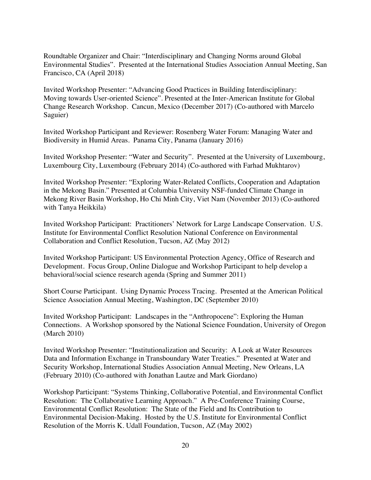Roundtable Organizer and Chair: "Interdisciplinary and Changing Norms around Global Environmental Studies". Presented at the International Studies Association Annual Meeting, San Francisco, CA (April 2018)

Invited Workshop Presenter: "Advancing Good Practices in Building Interdisciplinary: Moving towards User-oriented Science". Presented at the Inter-American Institute for Global Change Research Workshop. Cancun, Mexico (December 2017) (Co-authored with Marcelo Saguier)

Invited Workshop Participant and Reviewer: Rosenberg Water Forum: Managing Water and Biodiversity in Humid Areas. Panama City, Panama (January 2016)

Invited Workshop Presenter: "Water and Security". Presented at the University of Luxembourg, Luxembourg City, Luxembourg (February 2014) (Co-authored with Farhad Mukhtarov)

Invited Workshop Presenter: "Exploring Water-Related Conflicts, Cooperation and Adaptation in the Mekong Basin." Presented at Columbia University NSF-funded Climate Change in Mekong River Basin Workshop, Ho Chi Minh City, Viet Nam (November 2013) (Co-authored with Tanya Heikkila)

Invited Workshop Participant: Practitioners' Network for Large Landscape Conservation. U.S. Institute for Environmental Conflict Resolution National Conference on Environmental Collaboration and Conflict Resolution, Tucson, AZ (May 2012)

Invited Workshop Participant: US Environmental Protection Agency, Office of Research and Development. Focus Group, Online Dialogue and Workshop Participant to help develop a behavioral/social science research agenda (Spring and Summer 2011)

Short Course Participant. Using Dynamic Process Tracing. Presented at the American Political Science Association Annual Meeting, Washington, DC (September 2010)

Invited Workshop Participant: Landscapes in the "Anthropocene": Exploring the Human Connections. A Workshop sponsored by the National Science Foundation, University of Oregon (March 2010)

Invited Workshop Presenter: "Institutionalization and Security: A Look at Water Resources Data and Information Exchange in Transboundary Water Treaties." Presented at Water and Security Workshop, International Studies Association Annual Meeting, New Orleans, LA (February 2010) (Co-authored with Jonathan Lautze and Mark Giordano)

Workshop Participant: "Systems Thinking, Collaborative Potential, and Environmental Conflict Resolution: The Collaborative Learning Approach." A Pre-Conference Training Course, Environmental Conflict Resolution: The State of the Field and Its Contribution to Environmental Decision-Making. Hosted by the U.S. Institute for Environmental Conflict Resolution of the Morris K. Udall Foundation, Tucson, AZ (May 2002)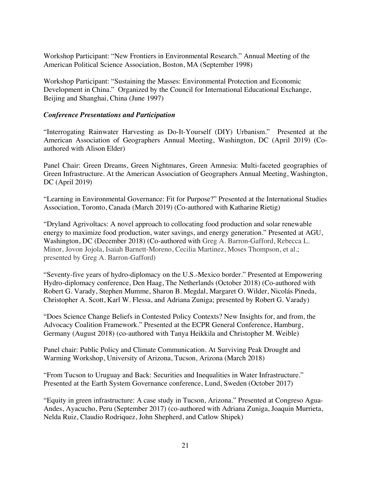Workshop Participant: "New Frontiers in Environmental Research." Annual Meeting of the American Political Science Association, Boston, MA (September 1998)

Workshop Participant: "Sustaining the Masses: Environmental Protection and Economic Development in China." Organized by the Council for International Educational Exchange, Beijing and Shanghai, China (June 1997)

### *Conference Presentations and Participation*

"Interrogating Rainwater Harvesting as Do-It-Yourself (DIY) Urbanism." Presented at the American Association of Geographers Annual Meeting, Washington, DC (April 2019) (Coauthored with Alison Elder)

Panel Chair: Green Dreams, Green Nightmares, Green Amnesia: Multi-faceted geographies of Green Infrastructure. At the American Association of Geographers Annual Meeting, Washington, DC (April 2019)

"Learning in Environmental Governance: Fit for Purpose?" Presented at the International Studies Association, Toronto, Canada (March 2019) (Co-authored with Katharine Rietig)

"Dryland Agrivoltacs: A novel approach to collocating food production and solar renewable energy to maximize food production, water savings, and energy generation." Presented at AGU, Washington, DC (December 2018) (Co-authored with Greg A. Barron-Gafford, Rebecca L. Minor, Jovon Jojola, Isaiah Barnett-Moreno, Cecilia Martinez, Moses Thompson, et al.; presented by Greg A. Barron-Gafford)

"Seventy-five years of hydro-diplomacy on the U.S.-Mexico border." Presented at Empowering Hydro-diplomacy conference, Den Haag, The Netherlands (October 2018) (Co-authored with Robert G. Varady, Stephen Mumme, Sharon B. Megdal, Margaret O. Wilder, Nicolás Pineda, Christopher A. Scott, Karl W. Flessa, and Adriana Zuniga; presented by Robert G. Varady)

"Does Science Change Beliefs in Contested Policy Contexts? New Insights for, and from, the Advocacy Coalition Framework." Presented at the ECPR General Conference, Hamburg, Germany (August 2018) (co-authored with Tanya Heikkila and Christopher M. Weible)

Panel chair: Public Policy and Climate Communication. At Surviving Peak Drought and Warming Workshop, University of Arizona, Tucson, Arizona (March 2018)

"From Tucson to Uruguay and Back: Securities and Inequalities in Water Infrastructure." Presented at the Earth System Governance conference, Lund, Sweden (October 2017)

"Equity in green infrastructure: A case study in Tucson, Arizona." Presented at Congreso Agua-Andes, Ayacucho, Peru (September 2017) (co-authored with Adriana Zuniga, Joaquin Murrieta, Nelda Ruiz, Claudio Rodriquez, John Shepherd, and Catlow Shipek)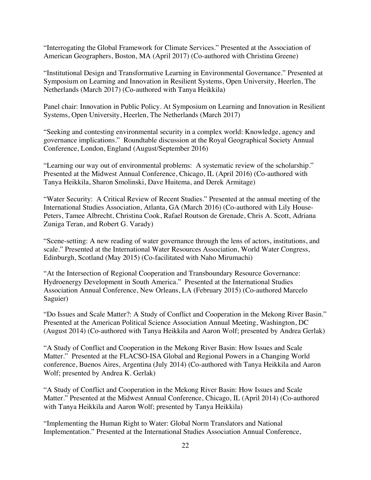"Interrogating the Global Framework for Climate Services." Presented at the Association of American Geographers, Boston, MA (April 2017) (Co-authored with Christina Greene)

"Institutional Design and Transformative Learning in Environmental Governance." Presented at Symposium on Learning and Innovation in Resilient Systems, Open University, Heerlen, The Netherlands (March 2017) (Co-authored with Tanya Heikkila)

Panel chair: Innovation in Public Policy. At Symposium on Learning and Innovation in Resilient Systems, Open University, Heerlen, The Netherlands (March 2017)

"Seeking and contesting environmental security in a complex world: Knowledge, agency and governance implications." Roundtable discussion at the Royal Geographical Society Annual Conference, London, England (August/September 2016)

"Learning our way out of environmental problems: A systematic review of the scholarship." Presented at the Midwest Annual Conference, Chicago, IL (April 2016) (Co-authored with Tanya Heikkila, Sharon Smolinski, Dave Huitema, and Derek Armitage)

"Water Security: A Critical Review of Recent Studies." Presented at the annual meeting of the International Studies Association, Atlanta, GA (March 2016) (Co-authored with Lily House-Peters, Tamee Albrecht, Christina Cook, Rafael Routson de Grenade, Chris A. Scott, Adriana Zuniga Teran, and Robert G. Varady)

"Scene-setting: A new reading of water governance through the lens of actors, institutions, and scale." Presented at the International Water Resources Association, World Water Congress, Edinburgh, Scotland (May 2015) (Co-facilitated with Naho Mirumachi)

"At the Intersection of Regional Cooperation and Transboundary Resource Governance: Hydroenergy Development in South America." Presented at the International Studies Association Annual Conference, New Orleans, LA (February 2015) (Co-authored Marcelo Saguier)

"Do Issues and Scale Matter?: A Study of Conflict and Cooperation in the Mekong River Basin." Presented at the American Political Science Association Annual Meeting, Washington, DC (August 2014) (Co-authored with Tanya Heikkila and Aaron Wolf; presented by Andrea Gerlak)

"A Study of Conflict and Cooperation in the Mekong River Basin: How Issues and Scale Matter." Presented at the FLACSO-ISA Global and Regional Powers in a Changing World conference, Buenos Aires, Argentina (July 2014) (Co-authored with Tanya Heikkila and Aaron Wolf; presented by Andrea K. Gerlak)

"A Study of Conflict and Cooperation in the Mekong River Basin: How Issues and Scale Matter." Presented at the Midwest Annual Conference, Chicago, IL (April 2014) (Co-authored with Tanya Heikkila and Aaron Wolf; presented by Tanya Heikkila)

"Implementing the Human Right to Water: Global Norm Translators and National Implementation." Presented at the International Studies Association Annual Conference,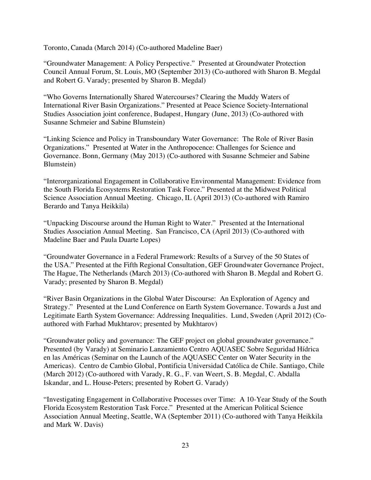Toronto, Canada (March 2014) (Co-authored Madeline Baer)

"Groundwater Management: A Policy Perspective." Presented at Groundwater Protection Council Annual Forum, St. Louis, MO (September 2013) (Co-authored with Sharon B. Megdal and Robert G. Varady; presented by Sharon B. Megdal)

"Who Governs Internationally Shared Watercourses? Clearing the Muddy Waters of International River Basin Organizations." Presented at Peace Science Society-International Studies Association joint conference, Budapest, Hungary (June, 2013) (Co-authored with Susanne Schmeier and Sabine Blumstein)

"Linking Science and Policy in Transboundary Water Governance: The Role of River Basin Organizations." Presented at Water in the Anthropocence: Challenges for Science and Governance. Bonn, Germany (May 2013) (Co-authored with Susanne Schmeier and Sabine Blumstein)

"Interorganizational Engagement in Collaborative Environmental Management: Evidence from the South Florida Ecosystems Restoration Task Force." Presented at the Midwest Political Science Association Annual Meeting. Chicago, IL (April 2013) (Co-authored with Ramiro Berardo and Tanya Heikkila)

"Unpacking Discourse around the Human Right to Water." Presented at the International Studies Association Annual Meeting. San Francisco, CA (April 2013) (Co-authored with Madeline Baer and Paula Duarte Lopes)

"Groundwater Governance in a Federal Framework: Results of a Survey of the 50 States of the USA." Presented at the Fifth Regional Consultation, GEF Groundwater Governance Project, The Hague, The Netherlands (March 2013) (Co-authored with Sharon B. Megdal and Robert G. Varady; presented by Sharon B. Megdal)

"River Basin Organizations in the Global Water Discourse: An Exploration of Agency and Strategy." Presented at the Lund Conference on Earth System Governance. Towards a Just and Legitimate Earth System Governance: Addressing Inequalities. Lund, Sweden (April 2012) (Coauthored with Farhad Mukhtarov; presented by Mukhtarov)

"Groundwater policy and governance: The GEF project on global groundwater governance." Presented (by Varady) at Seminario Lanzamiento Centro AQUASEC Sobre Seguridad Hídrica en las Américas (Seminar on the Launch of the AQUASEC Center on Water Security in the Americas). Centro de Cambio Global, Pontificia Universidad Católica de Chile. Santiago, Chile (March 2012) (Co-authored with Varady, R. G., F. van Weert, S. B. Megdal, C. Abdalla Iskandar, and L. House-Peters; presented by Robert G. Varady)

"Investigating Engagement in Collaborative Processes over Time: A 10-Year Study of the South Florida Ecosystem Restoration Task Force." Presented at the American Political Science Association Annual Meeting, Seattle, WA (September 2011) (Co-authored with Tanya Heikkila and Mark W. Davis)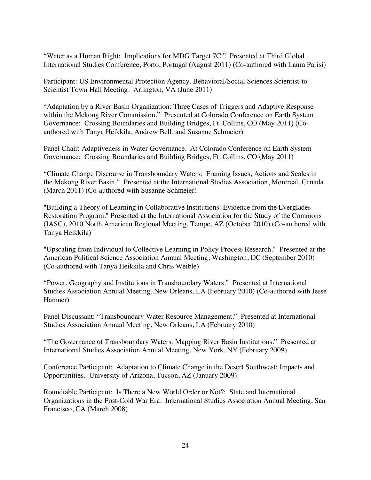"Water as a Human Right: Implications for MDG Target 7C." Presented at Third Global International Studies Conference, Porto, Portugal (August 2011) (Co-authored with Laura Parisi)

Participant: US Environmental Protection Agency. Behavioral/Social Sciences Scientist-to-Scientist Town Hall Meeting. Arlington, VA (June 2011)

"Adaptation by a River Basin Organization: Three Cases of Triggers and Adaptive Response within the Mekong River Commission." Presented at Colorado Conference on Earth System Governance: Crossing Boundaries and Building Bridges, Ft. Collins, CO (May 2011) (Coauthored with Tanya Heikkila, Andrew Bell, and Susanne Schmeier)

Panel Chair: Adaptiveness in Water Governance. At Colorado Conference on Earth System Governance: Crossing Boundaries and Building Bridges, Ft. Collins, CO (May 2011)

"Climate Change Discourse in Transboundary Waters: Framing Issues, Actions and Scales in the Mekong River Basin." Presented at the International Studies Association, Montreal, Canada (March 2011) (Co-authored with Susanne Schmeier)

"Building a Theory of Learning in Collaborative Institutions: Evidence from the Everglades Restoration Program." Presented at the International Association for the Study of the Commons (IASC), 2010 North American Regional Meeting, Tempe, AZ (October 2010) (Co-authored with Tanya Heikkila)

"Upscaling from Individual to Collective Learning in Policy Process Research." Presented at the American Political Science Association Annual Meeting, Washington, DC (September 2010) (Co-authored with Tanya Heikkila and Chris Weible)

"Power, Geography and Institutions in Transboundary Waters." Presented at International Studies Association Annual Meeting, New Orleans, LA (February 2010) (Co-authored with Jesse Hamner)

Panel Discussant: "Transboundary Water Resource Management." Presented at International Studies Association Annual Meeting, New Orleans, LA (February 2010)

"The Governance of Transboundary Waters: Mapping River Basin Institutions." Presented at International Studies Association Annual Meeting, New York, NY (February 2009)

Conference Participant: Adaptation to Climate Change in the Desert Southwest: Impacts and Opportunities. University of Arizona, Tucson, AZ (January 2009)

Roundtable Participant: Is There a New World Order or Not?: State and International Organizations in the Post-Cold War Era. International Studies Association Annual Meeting, San Francisco, CA (March 2008)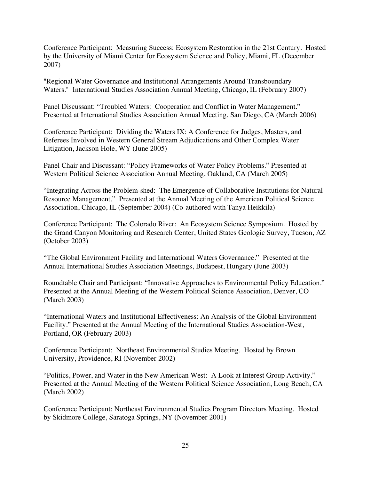Conference Participant:Measuring Success: Ecosystem Restoration in the 21st Century. Hosted by the University of Miami Center for Ecosystem Science and Policy, Miami, FL (December 2007)

"Regional Water Governance and Institutional Arrangements Around Transboundary Waters." International Studies Association Annual Meeting, Chicago, IL (February 2007)

Panel Discussant: "Troubled Waters: Cooperation and Conflict in Water Management." Presented at International Studies Association Annual Meeting, San Diego, CA (March 2006)

Conference Participant: Dividing the Waters IX: A Conference for Judges, Masters, and Referees Involved in Western General Stream Adjudications and Other Complex Water Litigation, Jackson Hole, WY (June 2005)

Panel Chair and Discussant: "Policy Frameworks of Water Policy Problems." Presented at Western Political Science Association Annual Meeting, Oakland, CA (March 2005)

"Integrating Across the Problem-shed: The Emergence of Collaborative Institutions for Natural Resource Management." Presented at the Annual Meeting of the American Political Science Association, Chicago, IL (September 2004) (Co-authored with Tanya Heikkila)

Conference Participant: The Colorado River: An Ecosystem Science Symposium. Hosted by the Grand Canyon Monitoring and Research Center, United States Geologic Survey, Tucson, AZ (October 2003)

"The Global Environment Facility and International Waters Governance." Presented at the Annual International Studies Association Meetings, Budapest, Hungary (June 2003)

Roundtable Chair and Participant: "Innovative Approaches to Environmental Policy Education." Presented at the Annual Meeting of the Western Political Science Association, Denver, CO (March 2003)

"International Waters and Institutional Effectiveness: An Analysis of the Global Environment Facility." Presented at the Annual Meeting of the International Studies Association-West, Portland, OR (February 2003)

Conference Participant: Northeast Environmental Studies Meeting. Hosted by Brown University, Providence, RI (November 2002)

"Politics, Power, and Water in the New American West: A Look at Interest Group Activity." Presented at the Annual Meeting of the Western Political Science Association, Long Beach, CA (March 2002)

Conference Participant: Northeast Environmental Studies Program Directors Meeting. Hosted by Skidmore College, Saratoga Springs, NY (November 2001)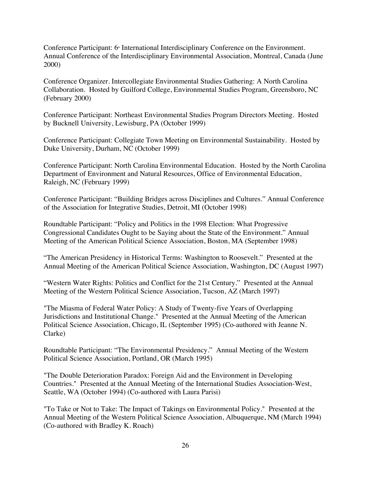Conference Participant: 6<sup>th</sup> International Interdisciplinary Conference on the Environment. Annual Conference of the Interdisciplinary Environmental Association, Montreal, Canada (June 2000)

Conference Organizer. Intercollegiate Environmental Studies Gathering: A North Carolina Collaboration. Hosted by Guilford College, Environmental Studies Program, Greensboro, NC (February 2000)

Conference Participant: Northeast Environmental Studies Program Directors Meeting. Hosted by Bucknell University, Lewisburg, PA (October 1999)

Conference Participant: Collegiate Town Meeting on Environmental Sustainability. Hosted by Duke University, Durham, NC (October 1999)

Conference Participant: North Carolina Environmental Education. Hosted by the North Carolina Department of Environment and Natural Resources, Office of Environmental Education, Raleigh, NC (February 1999)

Conference Participant: "Building Bridges across Disciplines and Cultures." Annual Conference of the Association for Integrative Studies, Detroit, MI (October 1998)

Roundtable Participant: "Policy and Politics in the 1998 Election: What Progressive Congressional Candidates Ought to be Saying about the State of the Environment." Annual Meeting of the American Political Science Association, Boston, MA (September 1998)

"The American Presidency in Historical Terms: Washington to Roosevelt." Presented at the Annual Meeting of the American Political Science Association, Washington, DC (August 1997)

"Western Water Rights: Politics and Conflict for the 21st Century." Presented at the Annual Meeting of the Western Political Science Association, Tucson, AZ (March 1997)

"The Miasma of Federal Water Policy: A Study of Twenty-five Years of Overlapping Jurisdictions and Institutional Change." Presented at the Annual Meeting of the American Political Science Association, Chicago, IL (September 1995) (Co-authored with Jeanne N. Clarke)

Roundtable Participant: "The Environmental Presidency." Annual Meeting of the Western Political Science Association, Portland, OR (March 1995)

"The Double Deterioration Paradox: Foreign Aid and the Environment in Developing Countries." Presented at the Annual Meeting of the International Studies Association-West, Seattle, WA (October 1994) (Co-authored with Laura Parisi)

"To Take or Not to Take: The Impact of Takings on Environmental Policy." Presented at the Annual Meeting of the Western Political Science Association, Albuquerque, NM (March 1994) (Co-authored with Bradley K. Roach)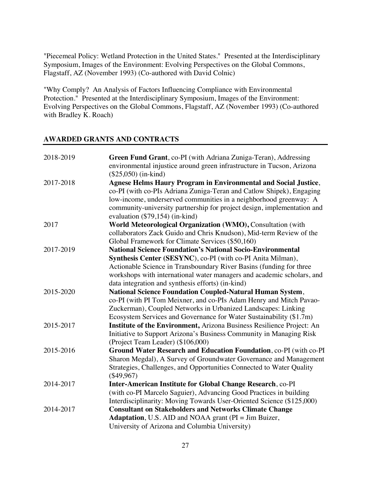"Piecemeal Policy: Wetland Protection in the United States." Presented at the Interdisciplinary Symposium, Images of the Environment: Evolving Perspectives on the Global Commons, Flagstaff, AZ (November 1993) (Co-authored with David Colnic)

"Why Comply? An Analysis of Factors Influencing Compliance with Environmental Protection." Presented at the Interdisciplinary Symposium, Images of the Environment: Evolving Perspectives on the Global Commons, Flagstaff, AZ (November 1993) (Co-authored with Bradley K. Roach)

# **AWARDED GRANTS AND CONTRACTS**

| 2018-2019 | Green Fund Grant, co-PI (with Adriana Zuniga-Teran), Addressing                                                 |
|-----------|-----------------------------------------------------------------------------------------------------------------|
|           | environmental injustice around green infrastructure in Tucson, Arizona                                          |
|           | $($25,050)$ (in-kind)                                                                                           |
| 2017-2018 | <b>Agnese Helms Haury Program in Environmental and Social Justice,</b>                                          |
|           | co-PI (with co-PIs Adriana Zuniga-Teran and Catlow Shipek), Engaging                                            |
|           | low-income, underserved communities in a neighborhood greenway: A                                               |
|           | community-university partnership for project design, implementation and                                         |
|           | evaluation $(\$79,154)$ (in-kind)                                                                               |
| 2017      | World Meteorological Organization (WMO), Consultation (with                                                     |
|           | collaborators Zack Guido and Chris Knudson), Mid-term Review of the                                             |
|           | Global Framework for Climate Services (\$50,160)                                                                |
| 2017-2019 | <b>National Science Foundation's National Socio-Environmental</b>                                               |
|           | Synthesis Center (SESYNC), co-PI (with co-PI Anita Milman),                                                     |
|           | Actionable Science in Transboundary River Basins (funding for three                                             |
|           | workshops with international water managers and academic scholars, and                                          |
|           | data integration and synthesis efforts) (in-kind)                                                               |
| 2015-2020 | <b>National Science Foundation Coupled-Natural Human System,</b>                                                |
|           | co-PI (with PI Tom Meixner, and co-PIs Adam Henry and Mitch Pavao-                                              |
|           | Zuckerman), Coupled Networks in Urbanized Landscapes: Linking                                                   |
|           | Ecosystem Services and Governance for Water Sustainability (\$1.7m)                                             |
| 2015-2017 | Institute of the Environment, Arizona Business Resilience Project: An                                           |
|           | Initiative to Support Arizona's Business Community in Managing Risk                                             |
|           | (Project Team Leader) (\$106,000)                                                                               |
| 2015-2016 | Ground Water Research and Education Foundation, co-PI (with co-PI                                               |
|           | Sharon Megdal), A Survey of Groundwater Governance and Management                                               |
|           | Strategies, Challenges, and Opportunities Connected to Water Quality                                            |
|           | $(\$49,967)$                                                                                                    |
| 2014-2017 | Inter-American Institute for Global Change Research, co-PI                                                      |
|           | (with co-PI Marcelo Saguier), Advancing Good Practices in building                                              |
|           | Interdisciplinarity: Moving Towards User-Oriented Science (\$125,000)                                           |
| 2014-2017 | <b>Consultant on Stakeholders and Networks Climate Change</b>                                                   |
|           | <b>Adaptation</b> , U.S. AID and NOAA grant (PI = Jim Buizer,<br>University of Arizona and Columbia University) |
|           |                                                                                                                 |